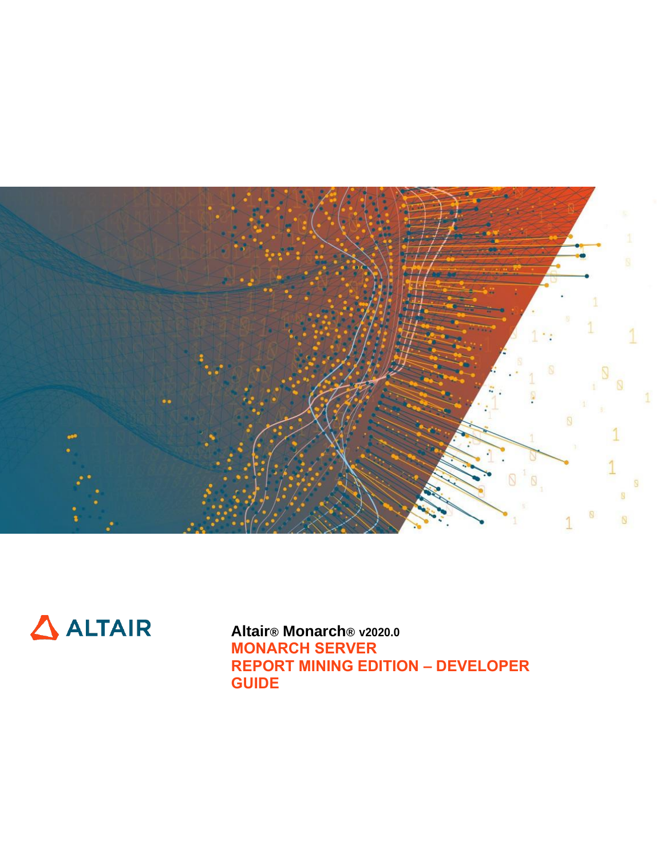



**Altair® Monarch® v2020.0 MONARCH SERVER REPORT MINING EDITION – DEVELOPER GUIDE**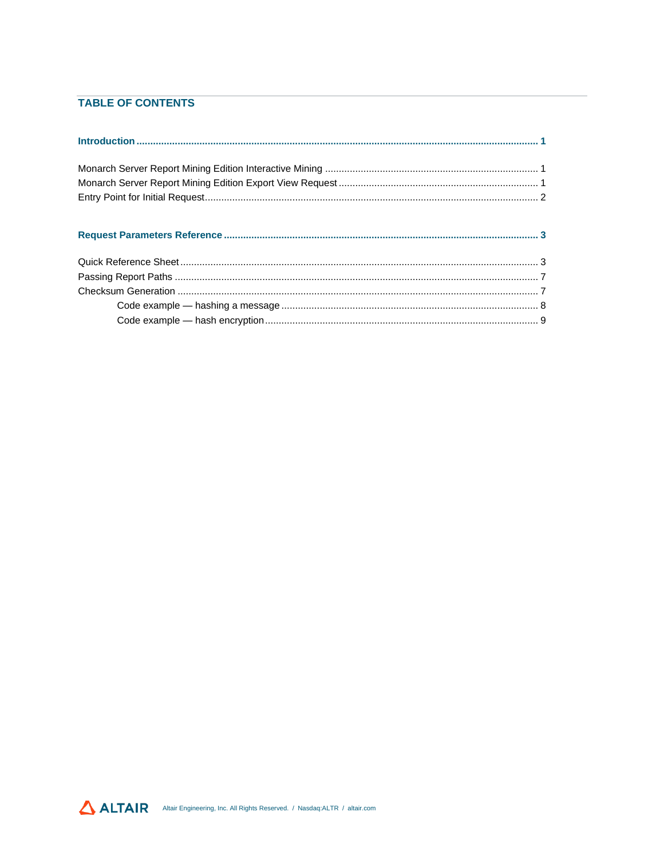### **TABLE OF CONTENTS**

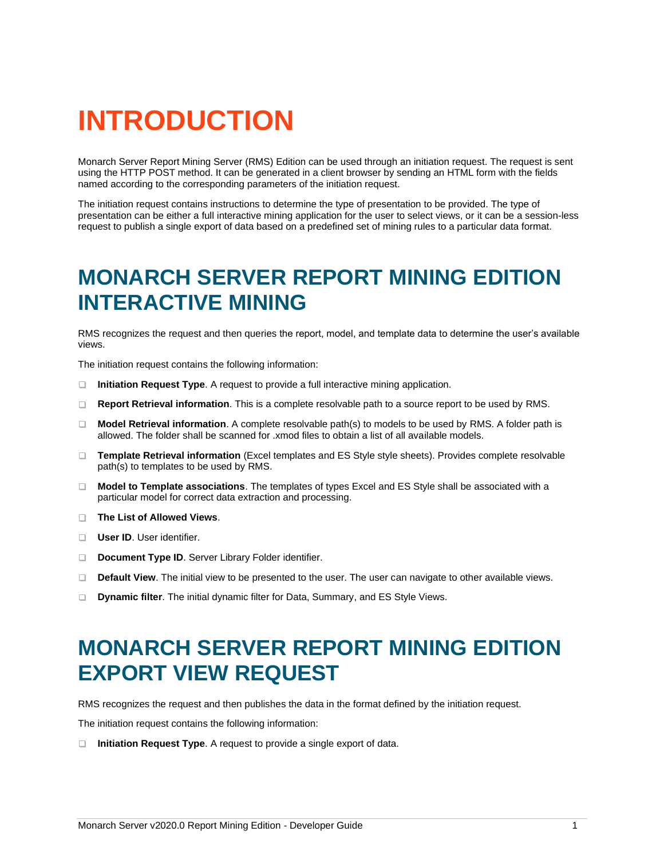# <span id="page-2-0"></span>**INTRODUCTION**

Monarch Server Report Mining Server (RMS) Edition can be used through an initiation request. The request is sent using the HTTP POST method. It can be generated in a client browser by sending an HTML form with the fields named according to the corresponding parameters of the initiation request.

The initiation request contains instructions to determine the type of presentation to be provided. The type of presentation can be either a full interactive mining application for the user to select views, or it can be a session-less request to publish a single export of data based on a predefined set of mining rules to a particular data format.

### <span id="page-2-1"></span>**MONARCH SERVER REPORT MINING EDITION INTERACTIVE MINING**

RMS recognizes the request and then queries the report, model, and template data to determine the user's available views.

The initiation request contains the following information:

- $\Box$ **Initiation Request Type**. A request to provide a full interactive mining application.
- **Report Retrieval information**. This is a complete resolvable path to a source report to be used by RMS. n.
- **Model Retrieval information**. A complete resolvable path(s) to models to be used by RMS. A folder path is  $\Box$ allowed. The folder shall be scanned for .xmod files to obtain a list of all available models.
- **Template Retrieval information** (Excel templates and ES Style style sheets). Provides complete resolvable path(s) to templates to be used by RMS.
- **Model to Template associations**. The templates of types Excel and ES Style shall be associated with a particular model for correct data extraction and processing.
- **The List of Allowed Views**.
- **User ID.** User identifier.
- **Document Type ID**. Server Library Folder identifier.  $\Box$
- $\Box$ **Default View**. The initial view to be presented to the user. The user can navigate to other available views.
- <span id="page-2-2"></span>**Dynamic filter**. The initial dynamic filter for Data, Summary, and ES Style Views.  $\Box$

### **MONARCH SERVER REPORT MINING EDITION EXPORT VIEW REQUEST**

RMS recognizes the request and then publishes the data in the format defined by the initiation request.

The initiation request contains the following information:

**Initiation Request Type**. A request to provide a single export of data.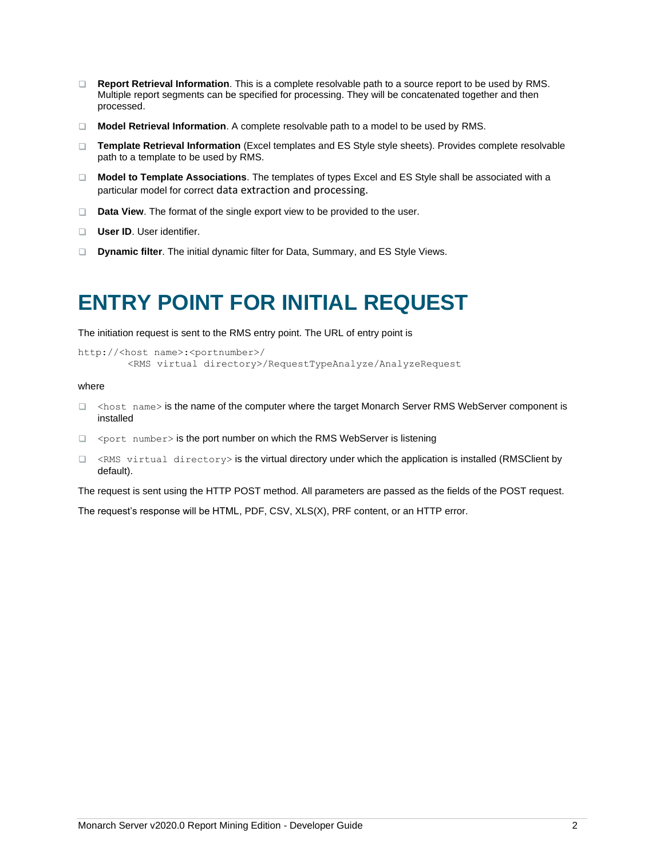- **Report Retrieval Information**. This is a complete resolvable path to a source report to be used by RMS. Multiple report segments can be specified for processing. They will be concatenated together and then processed.
- **Model Retrieval Information**. A complete resolvable path to a model to be used by RMS.
- **Template Retrieval Information** (Excel templates and ES Style style sheets). Provides complete resolvable path to a template to be used by RMS.
- **Model to Template Associations**. The templates of types Excel and ES Style shall be associated with a particular model for correct data extraction and processing.
- **Data View**. The format of the single export view to be provided to the user.
- **User ID.** User identifier.
- <span id="page-3-0"></span>**Dynamic filter**. The initial dynamic filter for Data, Summary, and ES Style Views.

## **ENTRY POINT FOR INITIAL REQUEST**

The initiation request is sent to the RMS entry point. The URL of entry point is

```
http://<host name>:<portnumber>/
        <RMS virtual directory>/RequestTypeAnalyze/AnalyzeRequest
```
#### where

- □ <host name> is the name of the computer where the target Monarch Server RMS WebServer component is installed
- $\Box$  <port number> is the port number on which the RMS WebServer is listening
- $\Box$  <RMS virtual directory> is the virtual directory under which the application is installed (RMSClient by default).

The request is sent using the HTTP POST method. All parameters are passed as the fields of the POST request.

The request's response will be HTML, PDF, CSV, XLS(X), PRF content, or an HTTP error.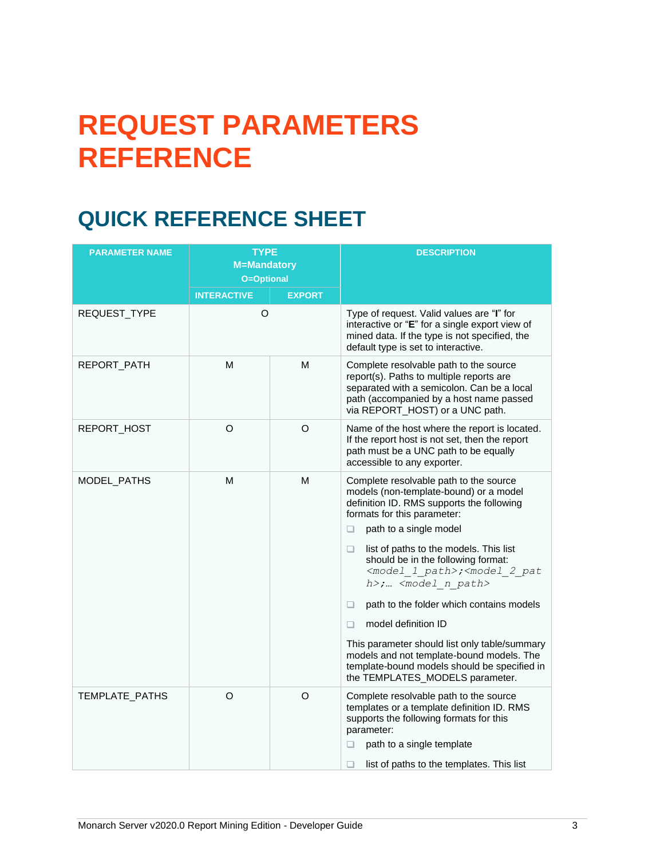# <span id="page-4-0"></span>**REQUEST PARAMETERS REFERENCE**

# <span id="page-4-1"></span>**QUICK REFERENCE SHEET**

| <b>PARAMETER NAME</b> | <b>TYPE</b><br><b>M=Mandatory</b><br>O=Optional |               | <b>DESCRIPTION</b>                                                                                                                                                                                                                                                                                                                                                                                                                                                                                                                                                                                                                                                                                                                 |
|-----------------------|-------------------------------------------------|---------------|------------------------------------------------------------------------------------------------------------------------------------------------------------------------------------------------------------------------------------------------------------------------------------------------------------------------------------------------------------------------------------------------------------------------------------------------------------------------------------------------------------------------------------------------------------------------------------------------------------------------------------------------------------------------------------------------------------------------------------|
|                       | <b>INTERACTIVE</b>                              | <b>EXPORT</b> |                                                                                                                                                                                                                                                                                                                                                                                                                                                                                                                                                                                                                                                                                                                                    |
| REQUEST_TYPE          | $\circ$                                         |               | Type of request. Valid values are "I" for<br>interactive or "E" for a single export view of<br>mined data. If the type is not specified, the<br>default type is set to interactive.                                                                                                                                                                                                                                                                                                                                                                                                                                                                                                                                                |
| REPORT_PATH           | M                                               | M             | Complete resolvable path to the source<br>report(s). Paths to multiple reports are<br>separated with a semicolon. Can be a local<br>path (accompanied by a host name passed<br>via REPORT_HOST) or a UNC path.                                                                                                                                                                                                                                                                                                                                                                                                                                                                                                                     |
| REPORT_HOST           | O                                               | O             | Name of the host where the report is located.<br>If the report host is not set, then the report<br>path must be a UNC path to be equally<br>accessible to any exporter.                                                                                                                                                                                                                                                                                                                                                                                                                                                                                                                                                            |
| MODEL PATHS           | M                                               | M             | Complete resolvable path to the source<br>models (non-template-bound) or a model<br>definition ID. RMS supports the following<br>formats for this parameter:<br>path to a single model<br>$\Box$<br>list of paths to the models. This list<br>$\Box$<br>should be in the following format:<br><model 1="" path="">;<model 2="" pat<br="">h&gt;; <model n="" path=""><br/>path to the folder which contains models<br/><math display="block">\Box</math><br/>model definition ID<br/><math display="block">\Box</math><br/>This parameter should list only table/summary<br/>models and not template-bound models. The<br/>template-bound models should be specified in<br/>the TEMPLATES_MODELS parameter.</model></model></model> |
| TEMPLATE_PATHS        | O                                               | $\circ$       | Complete resolvable path to the source<br>templates or a template definition ID. RMS<br>supports the following formats for this<br>parameter:<br>path to a single template<br>u<br>□<br>list of paths to the templates. This list                                                                                                                                                                                                                                                                                                                                                                                                                                                                                                  |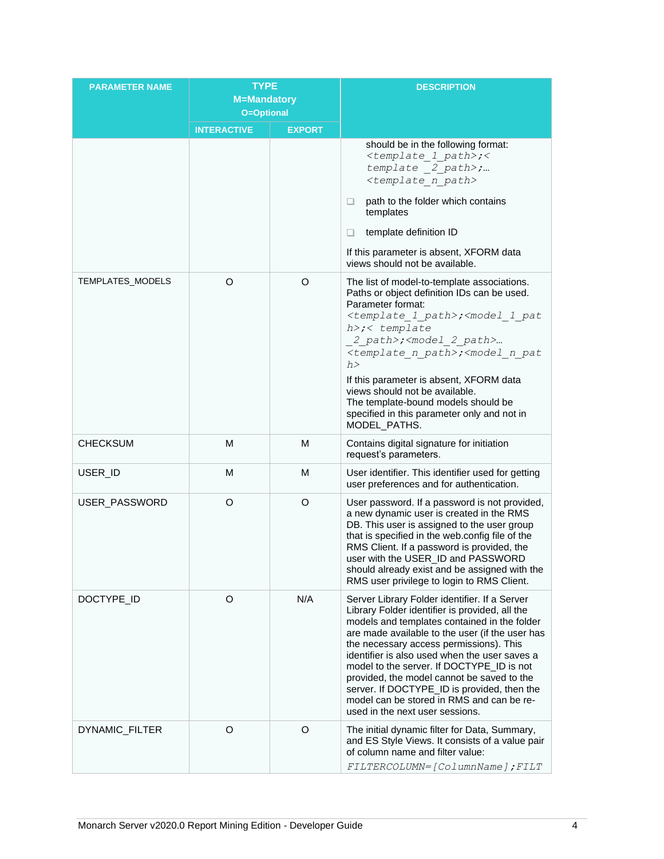| <b>PARAMETER NAME</b>   | <b>TYPE</b><br><b>M=Mandatory</b><br>O=Optional |               | <b>DESCRIPTION</b>                                                                                                                                                                                                                                                                                                                                                                                                                                                                                                       |
|-------------------------|-------------------------------------------------|---------------|--------------------------------------------------------------------------------------------------------------------------------------------------------------------------------------------------------------------------------------------------------------------------------------------------------------------------------------------------------------------------------------------------------------------------------------------------------------------------------------------------------------------------|
|                         | <b>INTERACTIVE</b>                              | <b>EXPORT</b> |                                                                                                                                                                                                                                                                                                                                                                                                                                                                                                                          |
|                         |                                                 |               | should be in the following format:<br><template 1="" path="">;&lt;<br/>template 2 path&gt;;<br/><template n="" path=""><br/>path to the folder which contains<br/>o.<br/>templates<br/>template definition ID<br/><math>\Box</math><br/>If this parameter is absent, XFORM data<br/>views should not be available.</template></template>                                                                                                                                                                                 |
| <b>TEMPLATES_MODELS</b> | O                                               | $\circ$       | The list of model-to-template associations.<br>Paths or object definition IDs can be used.<br>Parameter format:<br><template 1="" path="">;<model 1="" pat<br="">h&gt;;&lt; template<br/>2 path&gt;;<model 2="" path=""><br/><template n="" path="">;<model n="" pat<br="">h<br/>If this parameter is absent, XFORM data<br/>views should not be available.<br/>The template-bound models should be<br/>specified in this parameter only and not in<br/>MODEL_PATHS.</model></template></model></model></template>       |
| <b>CHECKSUM</b>         | M                                               | M             | Contains digital signature for initiation<br>request's parameters.                                                                                                                                                                                                                                                                                                                                                                                                                                                       |
| USER_ID                 | M                                               | M             | User identifier. This identifier used for getting<br>user preferences and for authentication.                                                                                                                                                                                                                                                                                                                                                                                                                            |
| USER_PASSWORD           | O                                               | O             | User password. If a password is not provided,<br>a new dynamic user is created in the RMS<br>DB. This user is assigned to the user group<br>that is specified in the web.config file of the<br>RMS Client. If a password is provided, the<br>user with the USER_ID and PASSWORD<br>should already exist and be assigned with the<br>RMS user privilege to login to RMS Client.                                                                                                                                           |
| DOCTYPE_ID              | O                                               | N/A           | Server Library Folder identifier. If a Server<br>Library Folder identifier is provided, all the<br>models and templates contained in the folder<br>are made available to the user (if the user has<br>the necessary access permissions). This<br>identifier is also used when the user saves a<br>model to the server. If DOCTYPE_ID is not<br>provided, the model cannot be saved to the<br>server. If DOCTYPE_ID is provided, then the<br>model can be stored in RMS and can be re-<br>used in the next user sessions. |
| DYNAMIC_FILTER          | O                                               | O             | The initial dynamic filter for Data, Summary,<br>and ES Style Views. It consists of a value pair<br>of column name and filter value:<br>FILTERCOLUMN=[ColumnName]; FILT                                                                                                                                                                                                                                                                                                                                                  |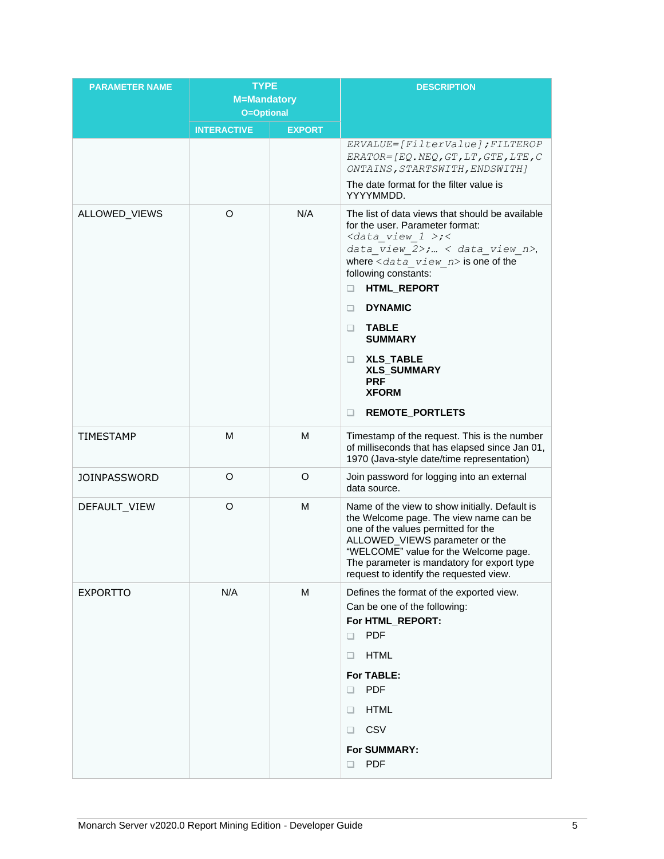| <b>PARAMETER NAME</b> | <b>TYPE</b><br><b>M=Mandatory</b> |               | <b>DESCRIPTION</b>                                                                                                                                                                                                                                                                                                                                                                                                                 |
|-----------------------|-----------------------------------|---------------|------------------------------------------------------------------------------------------------------------------------------------------------------------------------------------------------------------------------------------------------------------------------------------------------------------------------------------------------------------------------------------------------------------------------------------|
|                       | <b>O=Optional</b>                 |               |                                                                                                                                                                                                                                                                                                                                                                                                                                    |
|                       | <b>INTERACTIVE</b>                | <b>EXPORT</b> | ERVALUE=[FilterValue]; FILTEROP<br>$ERATOR = [EQ. NEQ, GT, LT, GTE, LTE, C$<br>ONTAINS, STARTSWITH, ENDSWITH]<br>The date format for the filter value is<br>YYYYMMDD.                                                                                                                                                                                                                                                              |
| ALLOWED_VIEWS         | O                                 | N/A           | The list of data views that should be available<br>for the user. Parameter format:<br>$< data$ view $1$ >; <<br>data view 2>;  < data view n>,<br>where $\langle data \rangle$ view $n$ is one of the<br>following constants:<br>HTML_REPORT<br>□<br><b>DYNAMIC</b><br>$\Box$<br><b>TABLE</b><br>□<br><b>SUMMARY</b><br><b>XLS_TABLE</b><br>o.<br><b>XLS_SUMMARY</b><br><b>PRF</b><br><b>XFORM</b><br><b>REMOTE_PORTLETS</b><br>o. |
| <b>TIMESTAMP</b>      | M                                 | M             | Timestamp of the request. This is the number<br>of milliseconds that has elapsed since Jan 01,<br>1970 (Java-style date/time representation)                                                                                                                                                                                                                                                                                       |
| <b>JOINPASSWORD</b>   | O                                 | O             | Join password for logging into an external<br>data source.                                                                                                                                                                                                                                                                                                                                                                         |
| DEFAULT_VIEW          | O                                 | M             | Name of the view to show initially. Default is<br>the Welcome page. The view name can be<br>one of the values permitted for the<br>ALLOWED_VIEWS parameter or the<br>"WELCOME" value for the Welcome page.<br>The parameter is mandatory for export type<br>request to identify the requested view.                                                                                                                                |
| <b>EXPORTTO</b>       | N/A                               | M             | Defines the format of the exported view.<br>Can be one of the following:<br>For HTML_REPORT:<br><b>PDF</b><br>□<br><b>HTML</b><br>u<br>For TABLE:<br><b>PDF</b><br>□<br><b>HTML</b><br>u<br>CSV<br>u<br>For SUMMARY:<br><b>PDF</b><br>□                                                                                                                                                                                            |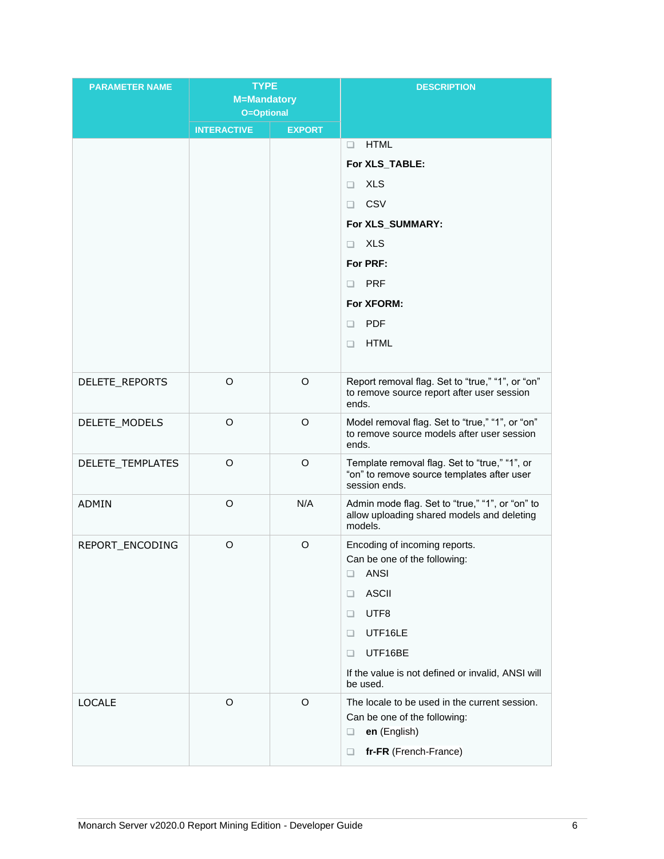| <b>PARAMETER NAME</b> | <b>TYPE</b>                      |               | <b>DESCRIPTION</b>                                                                                                               |
|-----------------------|----------------------------------|---------------|----------------------------------------------------------------------------------------------------------------------------------|
|                       | <b>M=Mandatory</b><br>O=Optional |               |                                                                                                                                  |
|                       | <b>INTERACTIVE</b>               | <b>EXPORT</b> |                                                                                                                                  |
|                       |                                  |               | <b>HTML</b><br>o.                                                                                                                |
|                       |                                  |               | For XLS_TABLE:                                                                                                                   |
|                       |                                  |               | <b>XLS</b><br>□                                                                                                                  |
|                       |                                  |               | CSV<br>$\Box$                                                                                                                    |
|                       |                                  |               | For XLS_SUMMARY:                                                                                                                 |
|                       |                                  |               | <b>XLS</b><br>o                                                                                                                  |
|                       |                                  |               | For PRF:                                                                                                                         |
|                       |                                  |               | <b>PRF</b><br>□                                                                                                                  |
|                       |                                  |               | For XFORM:                                                                                                                       |
|                       |                                  |               | <b>PDF</b><br>$\Box$                                                                                                             |
|                       |                                  |               | <b>HTML</b><br>o.                                                                                                                |
|                       |                                  |               |                                                                                                                                  |
| DELETE_REPORTS        | $\circ$                          | $\circ$       | Report removal flag. Set to "true," "1", or "on"<br>to remove source report after user session<br>ends.                          |
| DELETE_MODELS         | $\circ$                          | $\circ$       | Model removal flag. Set to "true," "1", or "on"<br>to remove source models after user session<br>ends.                           |
| DELETE_TEMPLATES      | $\circ$                          | O             | Template removal flag. Set to "true," "1", or<br>"on" to remove source templates after user<br>session ends.                     |
| <b>ADMIN</b>          | $\circ$                          | N/A           | Admin mode flag. Set to "true," "1", or "on" to<br>allow uploading shared models and deleting<br>models.                         |
| REPORT_ENCODING       | $\circ$                          | $\circ$       | Encoding of incoming reports.<br>Can be one of the following:<br><b>ANSI</b><br>❏<br><b>ASCII</b><br>□                           |
|                       |                                  |               | UTF8<br>u                                                                                                                        |
|                       |                                  |               | UTF16LE<br>u                                                                                                                     |
|                       |                                  |               | UTF16BE<br>□                                                                                                                     |
|                       |                                  |               | If the value is not defined or invalid, ANSI will<br>be used.                                                                    |
| <b>LOCALE</b>         | $\circ$                          | O             | The locale to be used in the current session.<br>Can be one of the following:<br>en (English)<br>□<br>fr-FR (French-France)<br>u |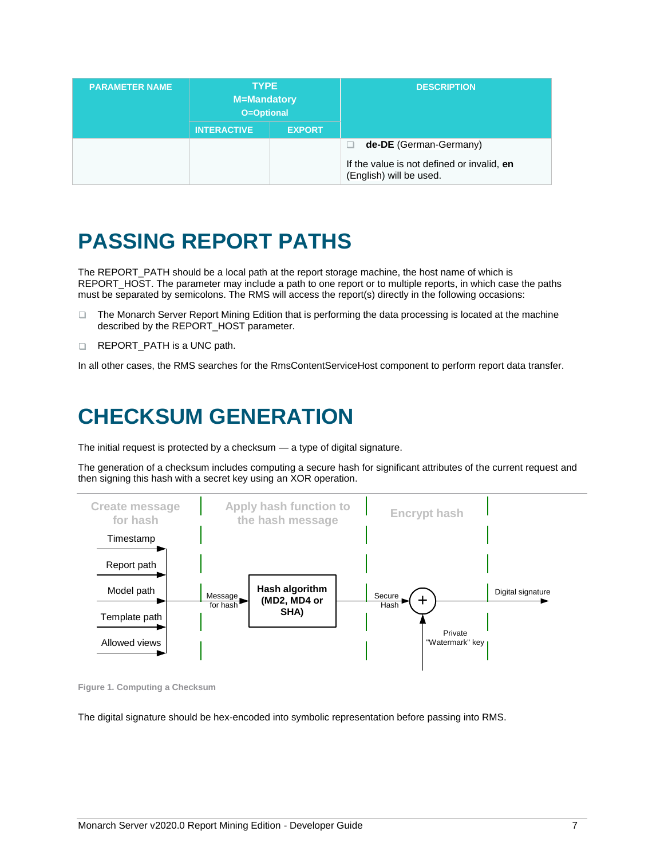| <b>PARAMETER NAME</b> | <b>TYPE</b><br><b>M=Mandatory</b><br>O=Optional |               | <b>DESCRIPTION</b>                                                    |
|-----------------------|-------------------------------------------------|---------------|-----------------------------------------------------------------------|
|                       | <b>INTERACTIVE</b>                              | <b>EXPORT</b> |                                                                       |
|                       |                                                 |               | de-DE (German-Germany)                                                |
|                       |                                                 |               | If the value is not defined or invalid, en<br>(English) will be used. |

## <span id="page-8-0"></span>**PASSING REPORT PATHS**

The REPORT\_PATH should be a local path at the report storage machine, the host name of which is REPORT\_HOST. The parameter may include a path to one report or to multiple reports, in which case the paths must be separated by semicolons. The RMS will access the report(s) directly in the following occasions:

- $\Box$ The Monarch Server Report Mining Edition that is performing the data processing is located at the machine described by the REPORT\_HOST parameter.
- $\Box$ REPORT\_PATH is a UNC path.

<span id="page-8-1"></span>In all other cases, the RMS searches for the RmsContentServiceHost component to perform report data transfer.

## **CHECKSUM GENERATION**

The initial request is protected by a checksum — a type of digital signature.

The generation of a checksum includes computing a secure hash for significant attributes of the current request and then signing this hash with a secret key using an XOR operation.



**Figure 1. Computing a Checksum**

The digital signature should be hex-encoded into symbolic representation before passing into RMS.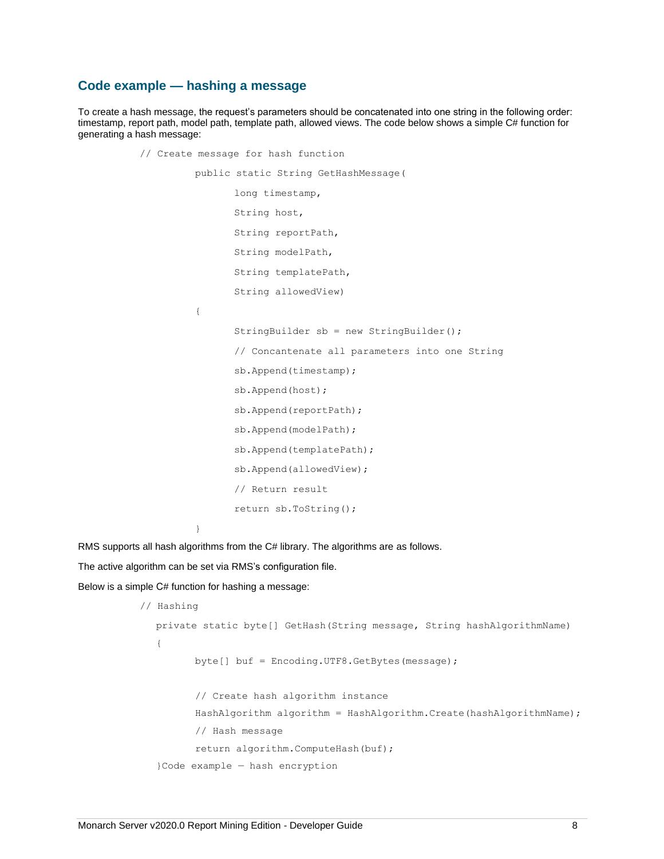#### <span id="page-9-0"></span>**Code example — hashing a message**

To create a hash message, the request's parameters should be concatenated into one string in the following order: timestamp, report path, model path, template path, allowed views. The code below shows a simple C# function for generating a hash message:

> // Create message for hash function public static String GetHashMessage( long timestamp, String host, String reportPath, String modelPath, String templatePath, String allowedView) { StringBuilder sb = new StringBuilder(); // Concantenate all parameters into one String sb.Append(timestamp); sb.Append(host); sb.Append(reportPath); sb.Append(modelPath); sb.Append(templatePath); sb.Append(allowedView); // Return result return sb.ToString(); }

RMS supports all hash algorithms from the C# library. The algorithms are as follows.

The active algorithm can be set via RMS's configuration file.

Below is a simple С# function for hashing a message:

```
 // Hashing
  private static byte[] GetHash(String message, String hashAlgorithmName)
  {
         byte[] buf = Encoding.UTF8.GetBytes(message);
         // Create hash algorithm instance
         HashAlgorithm algorithm = HashAlgorithm.Create(hashAlgorithmName);
         // Hash message
         return algorithm.ComputeHash(buf);
  }Code example — hash encryption
```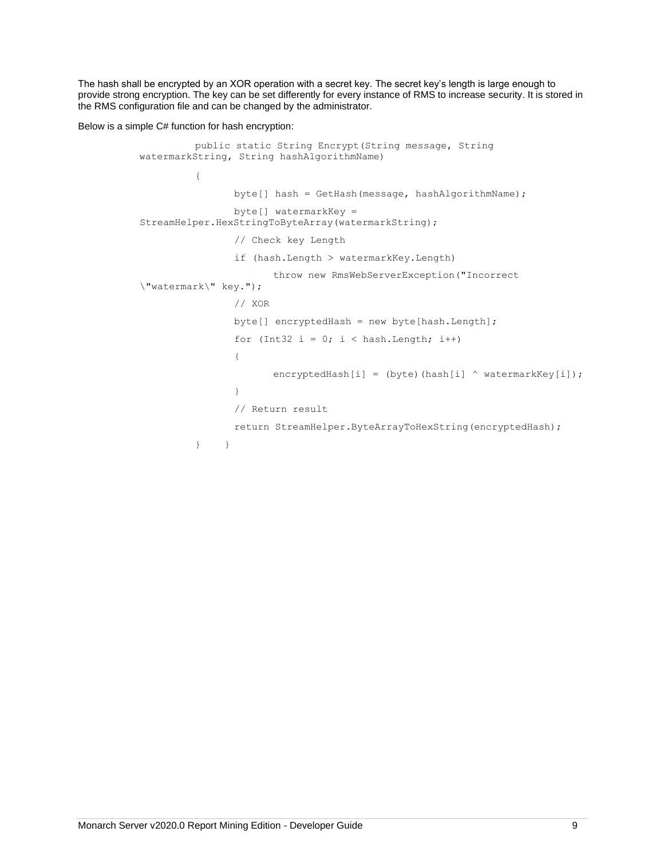The hash shall be encrypted by an XOR operation with a secret key. The secret key's length is large enough to provide strong encryption. The key can be set differently for every instance of RMS to increase security. It is stored in the RMS configuration file and can be changed by the administrator.

Below is a simple C# function for hash encryption:

```
public static String Encrypt(String message, String 
watermarkString, String hashAlgorithmName)
         {
                byte[] hash = GetHash(message, hashAlgorithmName);
                byte[] watermarkKey = 
StreamHelper.HexStringToByteArray(watermarkString);
                // Check key Length
                if (hash.Length > watermarkKey.Length)
                       throw new RmsWebServerException("Incorrect 
\"watermark\" key.");
                // XOR
                byte[] encryptedHash = new byte[hash.Length];
                for (Int32 i = 0; i < hash.Length; i++)
                {
                       encryptedHash[i] = (byte)(hash[i] \land watermarkKey[i]);
                }
                // Return result
                return StreamHelper.ByteArrayToHexString(encryptedHash);
         } }
```